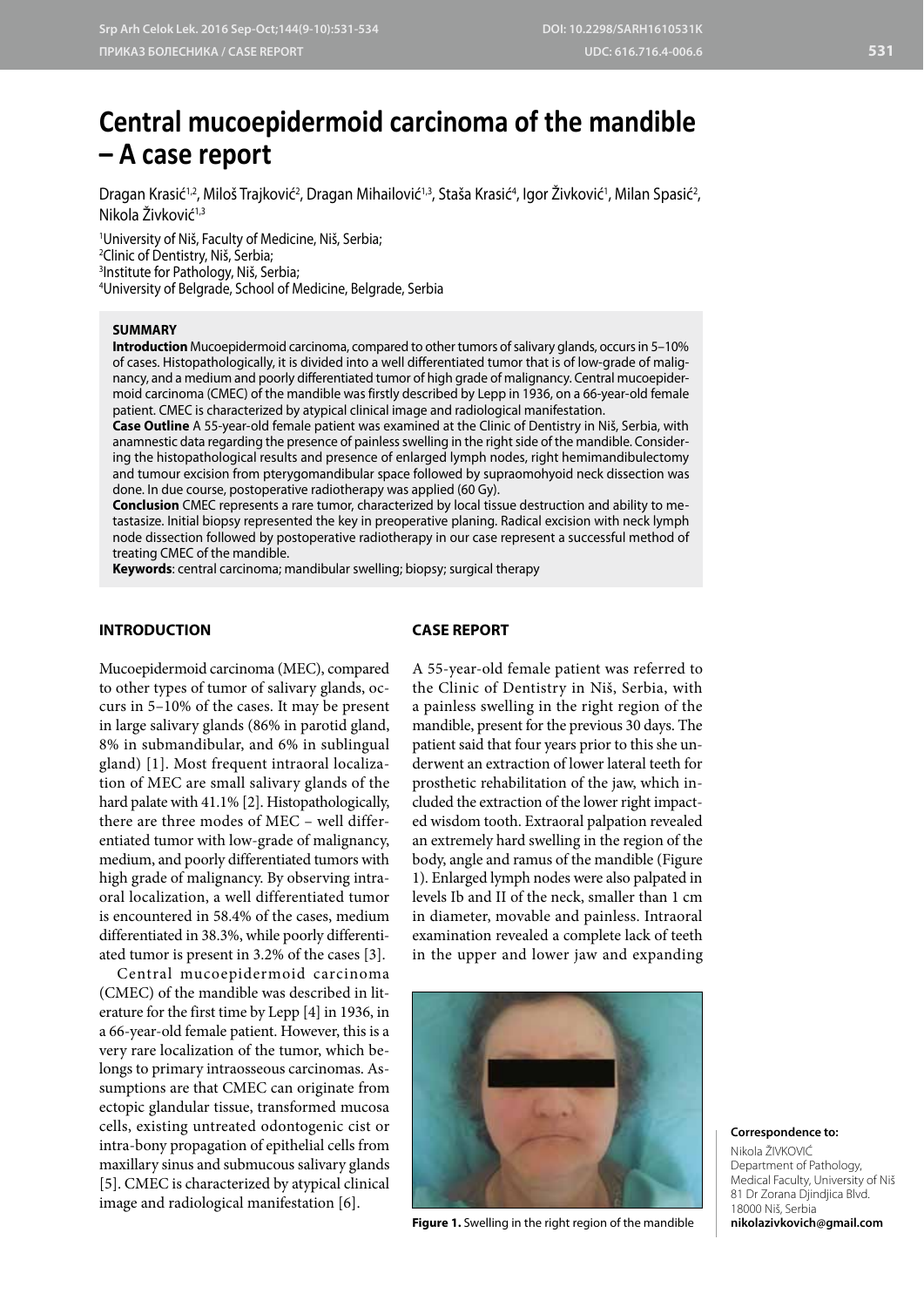# **Central mucoepidermoid carcinoma of the mandible – A case report**

Dragan Krasić<sup>1,2</sup>, Miloš Trajković<sup>2</sup>, Dragan Mihailović<sup>1,3</sup>, Staša Krasić<sup>4</sup>, Igor Zivković<sup>1</sup>, Milan Spasić<sup>2</sup>, Nikola Živković<sup>1,3</sup>

 University of Niš, Faculty of Medicine, Niš, Serbia; Clinic of Dentistry, Niš, Serbia; Institute for Pathology, Niš, Serbia; University of Belgrade, School of Medicine, Belgrade, Serbia

# **SUMMARY**

**Introduction** Mucoepidermoid carcinoma, compared to other tumors of salivary glands, occurs in 5–10% of cases. Histopathologically, it is divided into a well differentiated tumor that is of low-grade of malignancy, and a medium and poorly differentiated tumor of high grade of malignancy. Central mucoepidermoid carcinoma (CMEC) of the mandible was firstly described by Lepp in 1936, on a 66-year-old female patient. CMEC is characterized by atypical clinical image and radiological manifestation.

**Case Outline** A 55-year-old female patient was examined at the Clinic of Dentistry in Niš, Serbia, with anamnestic data regarding the presence of painless swelling in the right side of the mandible. Considering the histopathological results and presence of enlarged lymph nodes, right hemimandibulectomy and tumour excision from pterygomandibular space followed by supraomohyoid neck dissection was done. In due course, postoperative radiotherapy was applied (60 Gy).

**Conclusion** CMEC represents a rare tumor, characterized by local tissue destruction and ability to metastasize. Initial biopsy represented the key in preoperative planing. Radical excision with neck lymph node dissection followed by postoperative radiotherapy in our case represent a successful method of treating CMEC of the mandible.

**Keywords**: central carcinoma; mandibular swelling; biopsy; surgical therapy

# **INTRODUCTION**

## **CASE REPORT**

Mucoepidermoid carcinoma (MEC), compared to other types of tumor of salivary glands, occurs in 5–10% of the cases. It may be present in large salivary glands (86% in parotid gland, 8% in submandibular, and 6% in sublingual gland) [1]. Most frequent intraoral localization of MEC are small salivary glands of the hard palate with 41.1% [2]. Histopathologically, there are three modes of MEC – well differentiated tumor with low-grade of malignancy, medium, and poorly differentiated tumors with high grade of malignancy. By observing intraoral localization, a well differentiated tumor is encountered in 58.4% of the cases, medium differentiated in 38.3%, while poorly differentiated tumor is present in 3.2% of the cases [3].

Central mucoepidermoid carcinoma (CMEC) of the mandible was described in literature for the first time by Lepp [4] in 1936, in a 66-year-old female patient. However, this is a very rare localization of the tumor, which belongs to primary intraosseous carcinomas. Assumptions are that CMEC can originate from ectopic glandular tissue, transformed mucosa cells, existing untreated odontogenic cist or intra-bony propagation of epithelial cells from maxillary sinus and submucous salivary glands [5]. CMEC is characterized by atypical clinical image and radiological manifestation [6].

A 55-year-old female patient was referred to the Clinic of Dentistry in Niš, Serbia, with a painless swelling in the right region of the mandible, present for the previous 30 days. The patient said that four years prior to this she underwent an extraction of lower lateral teeth for prosthetic rehabilitation of the jaw, which included the extraction of the lower right impacted wisdom tooth. Extraoral palpation revealed an extremely hard swelling in the region of the body, angle and ramus of the mandible (Figure 1). Enlarged lymph nodes were also palpated in levels Ib and II of the neck, smaller than 1 cm in diameter, movable and painless. Intraoral examination revealed a complete lack of teeth in the upper and lower jaw and expanding



**Figure 1.** Swelling in the right region of the mandible

#### **Correspondence to:**

Nikola ŽIVKOVIĆ Department of Pathology, Medical Faculty, University of Niš 81 Dr Zorana Djindjica Blvd. 18000 Niš, Serbia **nikolazivkovich@gmail.com**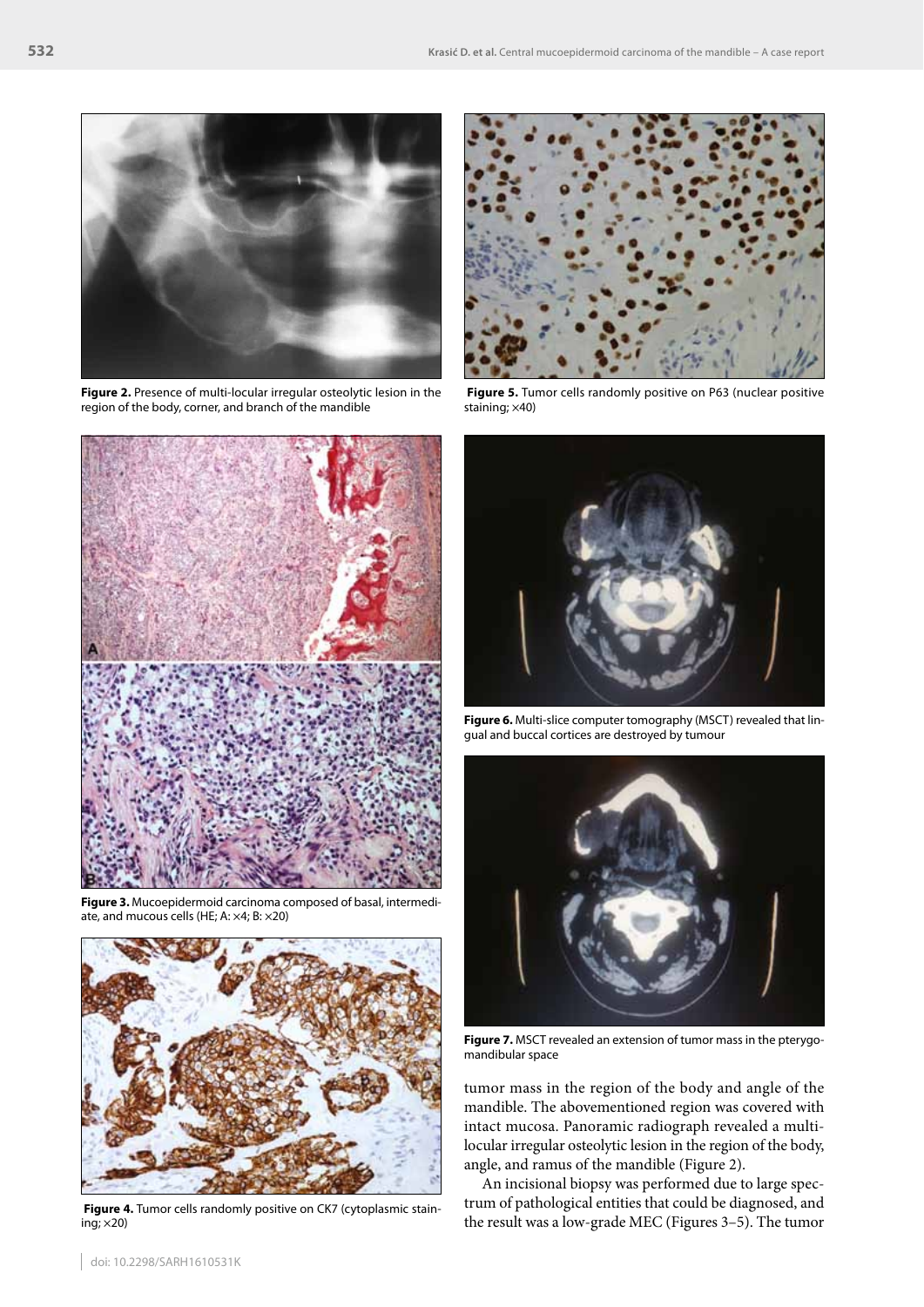

**Figure 2.** Presence of multi-locular irregular osteolytic lesion in the region of the body, corner, and branch of the mandible



**Figure 3.** Mucoepidermoid carcinoma composed of basal, intermediate, and mucous cells (HE; A: ×4; B: ×20)



 **Figure 4.** Tumor cells randomly positive on CK7 (cytoplasmic staining; ×20)



 **Figure 5.** Tumor cells randomly positive on P63 (nuclear positive staining; ×40)



**Figure 6.** Multi-slice computer tomography (MSCT) revealed that lingual and buccal cortices are destroyed by tumour



**Figure 7.** MSCT revealed an extension of tumor mass in the pterygomandibular space

tumor mass in the region of the body and angle of the mandible. The abovementioned region was covered with intact mucosa. Panoramic radiograph revealed a multilocular irregular osteolytic lesion in the region of the body, angle, and ramus of the mandible (Figure 2).

An incisional biopsy was performed due to large spectrum of pathological entities that could be diagnosed, and the result was a low-grade MEC (Figures 3–5). The tumor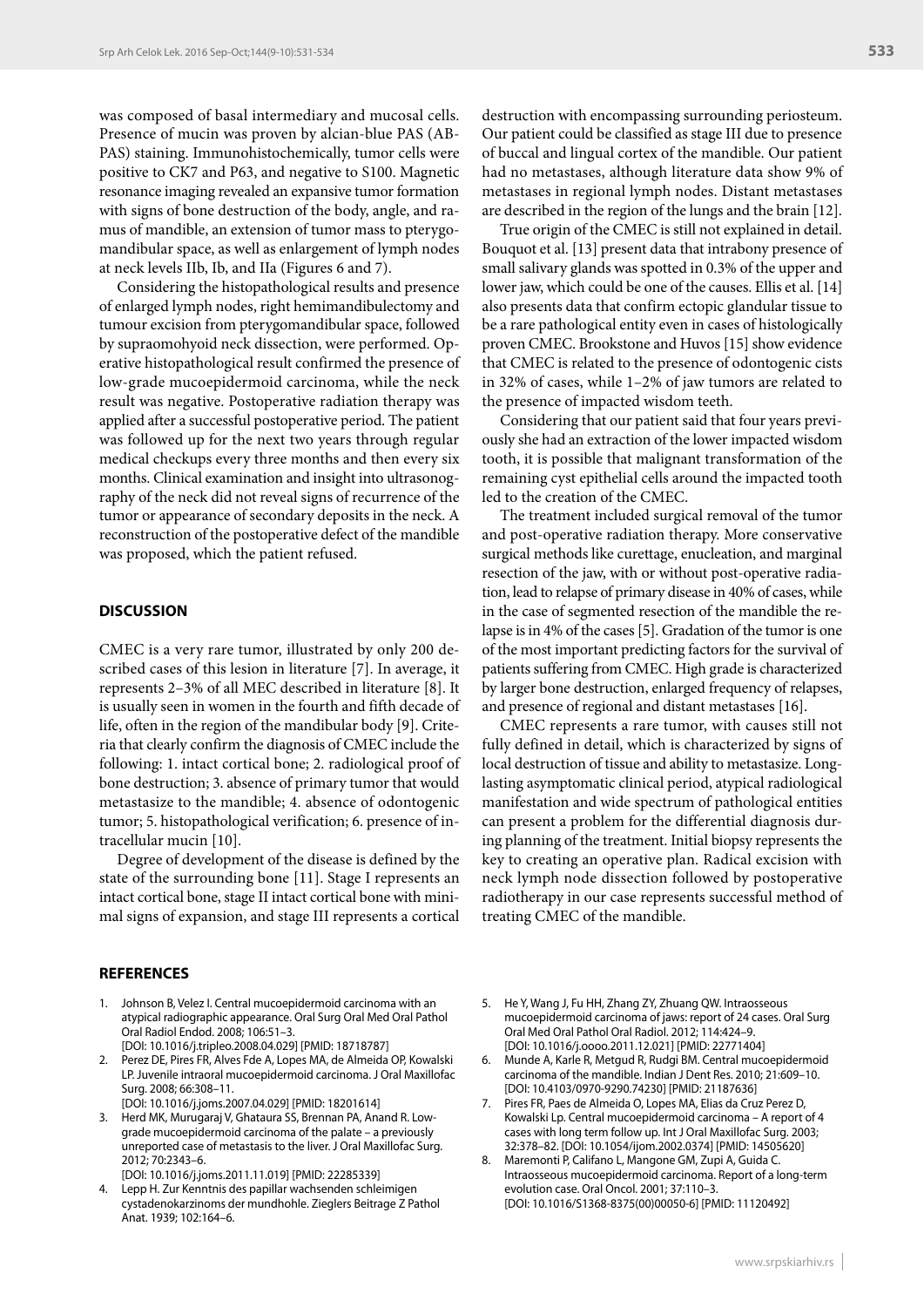was composed of basal intermediary and mucosal cells. Presence of mucin was proven by alcian-blue PAS (AB-PAS) staining. Immunohistochemically, tumor cells were positive to CK7 and P63, and negative to S100. Magnetic resonance imaging revealed an expansive tumor formation with signs of bone destruction of the body, angle, and ramus of mandible, an extension of tumor mass to pterygomandibular space, as well as enlargement of lymph nodes at neck levels IIb, Ib, and IIa (Figures 6 and 7).

Considering the histopathological results and presence of enlarged lymph nodes, right hemimandibulectomy and tumour excision from pterygomandibular space, followed by supraomohyoid neck dissection, were performed. Operative histopathological result confirmed the presence of low-grade mucoepidermoid carcinoma, while the neck result was negative. Postoperative radiation therapy was applied after a successful postoperative period. The patient was followed up for the next two years through regular medical checkups every three months and then every six months. Clinical examination and insight into ultrasonography of the neck did not reveal signs of recurrence of the tumor or appearance of secondary deposits in the neck. A reconstruction of the postoperative defect of the mandible was proposed, which the patient refused.

## **DISCUSSION**

CMEC is a very rare tumor, illustrated by only 200 described cases of this lesion in literature [7]. In average, it represents 2–3% of all MEC described in literature [8]. It is usually seen in women in the fourth and fifth decade of life, often in the region of the mandibular body [9]. Criteria that clearly confirm the diagnosis of CMEC include the following: 1. intact cortical bone; 2. radiological proof of bone destruction; 3. absence of primary tumor that would metastasize to the mandible; 4. absence of odontogenic tumor; 5. histopathological verification; 6. presence of intracellular mucin [10].

Degree of development of the disease is defined by the state of the surrounding bone [11]. Stage I represents an intact cortical bone, stage II intact cortical bone with minimal signs of expansion, and stage III represents a cortical

#### **REFERENCES**

- 1. Johnson B, Velez I. Central mucoepidermoid carcinoma with an atypical radiographic appearance. Oral Surg Oral Med Oral Pathol Oral Radiol Endod. 2008; 106:51–3. [DOI: 10.1016/j.tripleo.2008.04.029] [PMID: 18718787]
- 2. Perez DE, Pires FR, Alves Fde A, Lopes MA, de Almeida OP, Kowalski LP. Juvenile intraoral mucoepidermoid carcinoma. J Oral Maxillofac Surg. 2008; 66:308–11. [DOI: 10.1016/j.joms.2007.04.029] [PMID: 18201614]
- 3. Herd MK, Murugaraj V, Ghataura SS, Brennan PA, Anand R. Lowgrade mucoepidermoid carcinoma of the palate – a previously unreported case of metastasis to the liver. J Oral Maxillofac Surg. 2012; 70:2343–6.

[DOI: 10.1016/j.joms.2011.11.019] [PMID: 22285339] 4. Lepp H. Zur Kenntnis des papillar wachsenden schleimigen cystadenokarzinoms der mundhohle. Zieglers Beitrage Z Pathol Anat. 1939; 102:164–6.

destruction with encompassing surrounding periosteum. Our patient could be classified as stage III due to presence of buccal and lingual cortex of the mandible. Our patient had no metastases, although literature data show 9% of metastases in regional lymph nodes. Distant metastases are described in the region of the lungs and the brain [12].

True origin of the CMEC is still not explained in detail. Bouquot et al. [13] present data that intrabony presence of small salivary glands was spotted in 0.3% of the upper and lower jaw, which could be one of the causes. Ellis et al. [14] also presents data that confirm ectopic glandular tissue to be a rare pathological entity even in cases of histologically proven CMEC. Brookstone and Huvos [15] show evidence that CMEC is related to the presence of odontogenic cists in 32% of cases, while 1–2% of jaw tumors are related to the presence of impacted wisdom teeth.

Considering that our patient said that four years previously she had an extraction of the lower impacted wisdom tooth, it is possible that malignant transformation of the remaining cyst epithelial cells around the impacted tooth led to the creation of the CMEC.

The treatment included surgical removal of the tumor and post-operative radiation therapy. More conservative surgical methods like curettage, enucleation, and marginal resection of the jaw, with or without post-operative radiation, lead to relapse of primary disease in 40% of cases, while in the case of segmented resection of the mandible the relapse is in 4% of the cases [5]. Gradation of the tumor is one of the most important predicting factors for the survival of patients suffering from CMEC. High grade is characterized by larger bone destruction, enlarged frequency of relapses, and presence of regional and distant metastases [16].

CMEC represents a rare tumor, with causes still not fully defined in detail, which is characterized by signs of local destruction of tissue and ability to metastasize. Longlasting asymptomatic clinical period, atypical radiological manifestation and wide spectrum of pathological entities can present a problem for the differential diagnosis during planning of the treatment. Initial biopsy represents the key to creating an operative plan. Radical excision with neck lymph node dissection followed by postoperative radiotherapy in our case represents successful method of treating CMEC of the mandible.

- 5. He Y, Wang J, Fu HH, Zhang ZY, Zhuang QW. Intraosseous mucoepidermoid carcinoma of jaws: report of 24 cases. Oral Surg Oral Med Oral Pathol Oral Radiol. 2012; 114:424–9. [DOI: 10.1016/j.oooo.2011.12.021] [PMID: 22771404]
- 6. Munde A, Karle R, Metgud R, Rudgi BM. Central mucoepidermoid carcinoma of the mandible. Indian J Dent Res. 2010; 21:609–10. [DOI: 10.4103/0970-9290.74230] [PMID: 21187636]
- 7. Pires FR, Paes de Almeida O, Lopes MA, Elias da Cruz Perez D, Kowalski Lp. Central mucoepidermoid carcinoma – A report of 4 cases with long term follow up. Int J Oral Maxillofac Surg. 2003; 32:378–82. [DOI: 10.1054/ijom.2002.0374] [PMID: 14505620]
- 8. Maremonti P, Califano L, Mangone GM, Zupi A, Guida C. Intraosseous mucoepidermoid carcinoma. Report of a long-term evolution case. Oral Oncol. 2001; 37:110–3. [DOI: 10.1016/S1368-8375(00)00050-6] [PMID: 11120492]